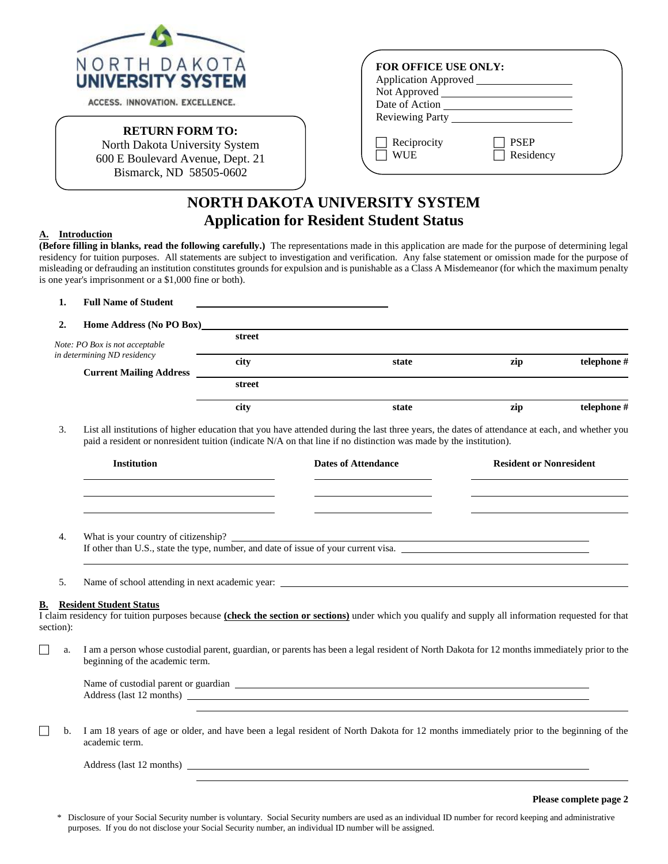

ACCESS. INNOVATION. EXCELLENCE.

## **RETURN FORM TO:**

North Dakota University System 600 E Boulevard Avenue, Dept. 21 Bismarck, ND 58505-0602

| <b>FOR OFFICE USE ONLY:</b> |                          |  |
|-----------------------------|--------------------------|--|
| Application Approved        |                          |  |
| Not Approved __             |                          |  |
| Date of Action              |                          |  |
| <b>Reviewing Party</b>      |                          |  |
|                             |                          |  |
| Reciprocity<br>WI IE        | <b>PSEP</b><br>Residency |  |
|                             |                          |  |

## **NORTH DAKOTA UNIVERSITY SYSTEM Application for Resident Student Status**

## **A. Introduction**

**(Before filling in blanks, read the following carefully.)** The representations made in this application are made for the purpose of determining legal residency for tuition purposes. All statements are subject to investigation and verification. Any false statement or omission made for the purpose of misleading or defrauding an institution constitutes grounds for expulsion and is punishable as a Class A Misdemeanor (for which the maximum penalty is one year's imprisonment or a \$1,000 fine or both).

| telephone # |
|-------------|
|             |
|             |
| telephone # |
|             |

3. List all institutions of higher education that you have attended during the last three years, the dates of attendance at each, and whether you paid a resident or nonresident tuition (indicate N/A on that line if no distinction was made by the institution).

|    | <b>Institution</b>                                                                                                          | Dates of Attendance | <b>Resident or Nonresident</b> |
|----|-----------------------------------------------------------------------------------------------------------------------------|---------------------|--------------------------------|
|    |                                                                                                                             |                     |                                |
| 4. | What is your country of citizenship?<br>If other than U.S., state the type, number, and date of issue of your current visa. |                     |                                |
|    | Name of school attending in next academic year: _________________________________                                           |                     |                                |
| В. | <b>Resident Student Status</b>                                                                                              |                     |                                |

I claim residency for tuition purposes because **(check the section or sections)** under which you qualify and supply all information requested for that section):

 a. I am a person whose custodial parent, guardian, or parents has been a legal resident of North Dakota for 12 months immediately prior to the beginning of the academic term.

| Name of custodial parent or guardian |  |
|--------------------------------------|--|
| Address (last 12 months)             |  |

 b. I am 18 years of age or older, and have been a legal resident of North Dakota for 12 months immediately prior to the beginning of the academic term.

Address (last 12 months)

|  | Please complete page 2 |  |
|--|------------------------|--|
|--|------------------------|--|

Disclosure of your Social Security number is voluntary. Social Security numbers are used as an individual ID number for record keeping and administrative purposes. If you do not disclose your Social Security number, an individual ID number will be assigned.